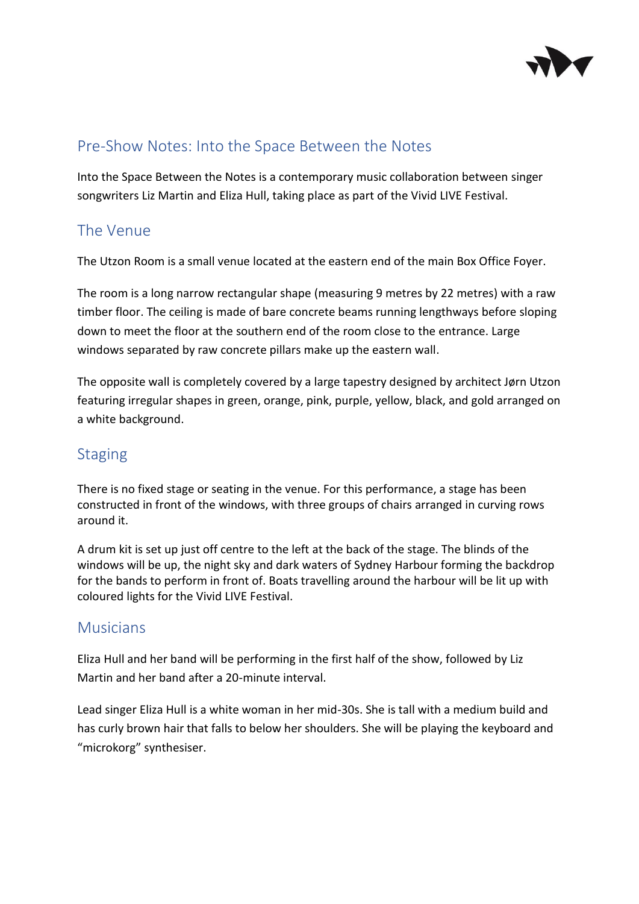

## Pre-Show Notes: Into the Space Between the Notes

Into the Space Between the Notes is a contemporary music collaboration between singer songwriters Liz Martin and Eliza Hull, taking place as part of the Vivid LIVE Festival.

## The Venue

The Utzon Room is a small venue located at the eastern end of the main Box Office Foyer.

The room is a long narrow rectangular shape (measuring 9 metres by 22 metres) with a raw timber floor. The ceiling is made of bare concrete beams running lengthways before sloping down to meet the floor at the southern end of the room close to the entrance. Large windows separated by raw concrete pillars make up the eastern wall.

The opposite wall is completely covered by a large tapestry designed by architect Jørn Utzon featuring irregular shapes in green, orange, pink, purple, yellow, black, and gold arranged on a white background.

## **Staging**

There is no fixed stage or seating in the venue. For this performance, a stage has been constructed in front of the windows, with three groups of chairs arranged in curving rows around it.

A drum kit is set up just off centre to the left at the back of the stage. The blinds of the windows will be up, the night sky and dark waters of Sydney Harbour forming the backdrop for the bands to perform in front of. Boats travelling around the harbour will be lit up with coloured lights for the Vivid LIVE Festival.

## Musicians

Eliza Hull and her band will be performing in the first half of the show, followed by Liz Martin and her band after a 20-minute interval.

Lead singer Eliza Hull is a white woman in her mid-30s. She is tall with a medium build and has curly brown hair that falls to below her shoulders. She will be playing the keyboard and "microkorg" synthesiser.